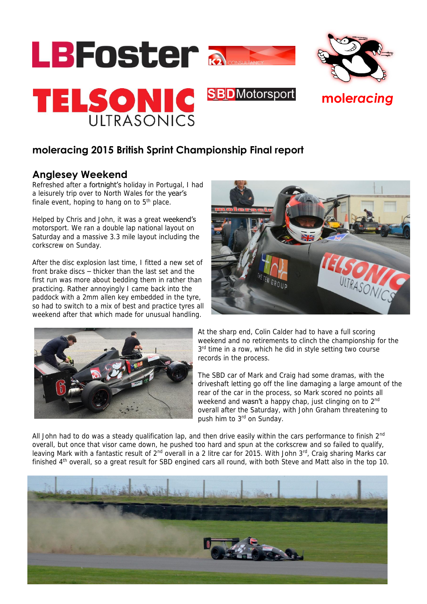

## **moleracing 2015 British Sprint Championship Final report**

## **Anglesey Weekend**

Refreshed after a fortnight's holiday in Portugal, I had a leisurely trip over to North Wales for the year's finale event, hoping to hang on to  $5<sup>th</sup>$  place.

Helped by Chris and John, it was a great weekend's motorsport. We ran a double lap national layout on Saturday and a massive 3.3 mile layout including the corkscrew on Sunday.

After the disc explosion last time, I fitted a new set of front brake discs – thicker than the last set and the first run was more about bedding them in rather than practicing. Rather annoyingly I came back into the paddock with a 2mm allen key embedded in the tyre, so had to switch to a mix of best and practice tyres all weekend after that which made for unusual handling.





At the sharp end, Colin Calder had to have a full scoring weekend and no retirements to clinch the championship for the 3<sup>rd</sup> time in a row, which he did in style setting two course records in the process.

The SBD car of Mark and Craig had some dramas, with the driveshaft letting go off the line damaging a large amount of the rear of the car in the process, so Mark scored no points all weekend and wasn't a happy chap, just clinging on to 2<sup>nd</sup> overall after the Saturday, with John Graham threatening to push him to 3<sup>rd</sup> on Sunday.

All John had to do was a steady qualification lap, and then drive easily within the cars performance to finish  $2^{nd}$ overall, but once that visor came down, he pushed too hard and spun at the corkscrew and so failed to qualify, leaving Mark with a fantastic result of 2<sup>nd</sup> overall in a 2 litre car for 2015. With John 3<sup>rd</sup>, Craig sharing Marks car finished 4<sup>th</sup> overall, so a great result for SBD engined cars all round, with both Steve and Matt also in the top 10.

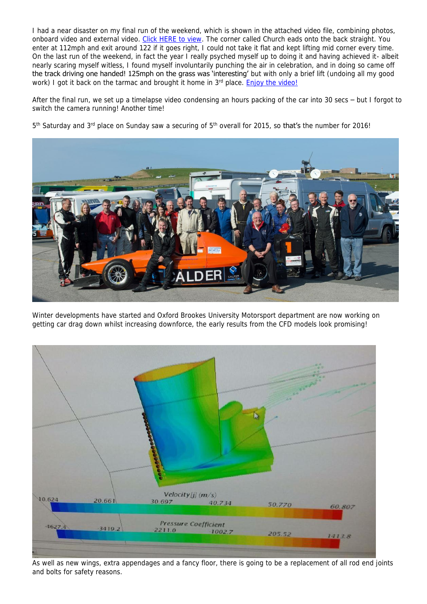I had a near disaster on my final run of the weekend, which is shown in the attached video file, combining photos, onboard video and external video. [Click HERE to view.](https://youtu.be/jBpANlKfv6M) The corner called Church eads onto the back straight. You enter at 112mph and exit around 122 if it goes right, I could not take it flat and kept lifting mid corner every time. On the last run of the weekend, in fact the year I really psyched myself up to doing it and having achieved it- albeit nearly scaring myself witless, I found myself involuntarily punching the air in celebration, and in doing so came off the track driving one handed! 125mph on the grass was 'interesting' but with only a brief lift (undoing all my good work) I got it back on the tarmac and brought it home in 3<sup>rd</sup> place. **Enjoy the video!** 

After the final run, we set up a timelapse video condensing an hours packing of the car into 30 secs – but I forgot to switch the camera running! Another time!

5<sup>th</sup> Saturday and 3<sup>rd</sup> place on Sunday saw a securing of 5<sup>th</sup> overall for 2015, so **that's** the number for 2016!



Winter developments have started and Oxford Brookes University Motorsport department are now working on getting car drag down whilst increasing downforce, the early results from the CFD models look promising!



As well as new wings, extra appendages and a fancy floor, there is going to be a replacement of all rod end joints and bolts for safety reasons.